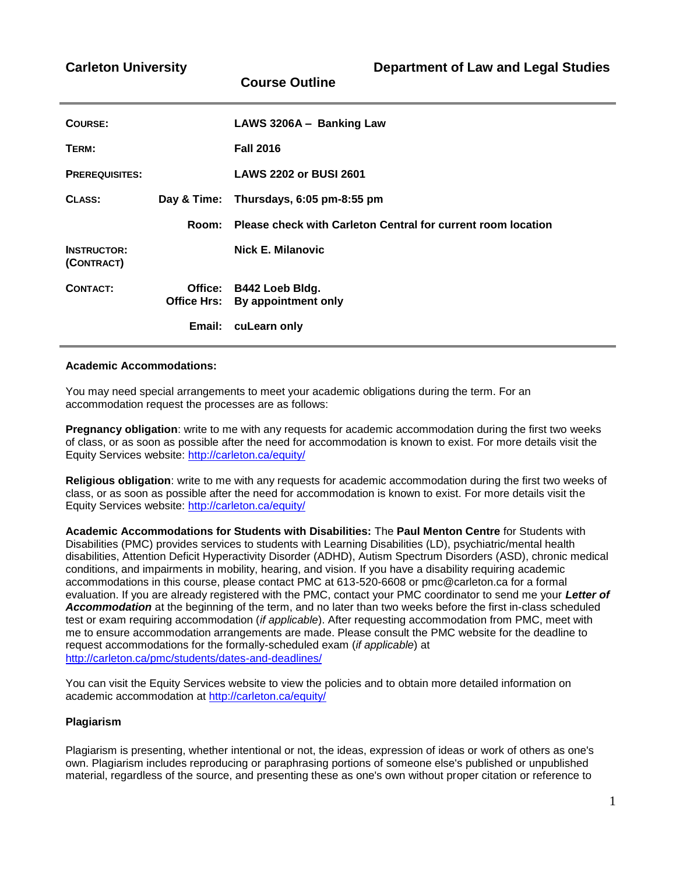| COURSE:                          |        | LAWS 3206A - Banking Law                                     |  |
|----------------------------------|--------|--------------------------------------------------------------|--|
| TERM:                            |        | <b>Fall 2016</b>                                             |  |
| <b>PREREQUISITES:</b>            |        | <b>LAWS 2202 or BUSI 2601</b>                                |  |
| CLASS:                           |        | Day & Time: Thursdays, 6:05 pm-8:55 pm                       |  |
|                                  | Room:  | Please check with Carleton Central for current room location |  |
| <b>INSTRUCTOR:</b><br>(CONTRACT) |        | <b>Nick E. Milanovic</b>                                     |  |
| <b>CONTACT:</b>                  |        | Office: B442 Loeb Bldg.<br>Office Hrs: By appointment only   |  |
|                                  | Email: | cuLearn only                                                 |  |

**Course Outline**

#### **Academic Accommodations:**

You may need special arrangements to meet your academic obligations during the term. For an accommodation request the processes are as follows:

**Pregnancy obligation**: write to me with any requests for academic accommodation during the first two weeks of class, or as soon as possible after the need for accommodation is known to exist. For more details visit the Equity Services website:<http://carleton.ca/equity/>

**Religious obligation**: write to me with any requests for academic accommodation during the first two weeks of class, or as soon as possible after the need for accommodation is known to exist. For more details visit the Equity Services website:<http://carleton.ca/equity/>

**Academic Accommodations for Students with Disabilities:** The **Paul Menton Centre** for Students with Disabilities (PMC) provides services to students with Learning Disabilities (LD), psychiatric/mental health disabilities, Attention Deficit Hyperactivity Disorder (ADHD), Autism Spectrum Disorders (ASD), chronic medical conditions, and impairments in mobility, hearing, and vision. If you have a disability requiring academic accommodations in this course, please contact PMC at 613-520-6608 or pmc@carleton.ca for a formal evaluation. If you are already registered with the PMC, contact your PMC coordinator to send me your *Letter of Accommodation* at the beginning of the term, and no later than two weeks before the first in-class scheduled test or exam requiring accommodation (*if applicable*). After requesting accommodation from PMC, meet with me to ensure accommodation arrangements are made. Please consult the PMC website for the deadline to request accommodations for the formally-scheduled exam (*if applicable*) at <http://carleton.ca/pmc/students/dates-and-deadlines/>

You can visit the Equity Services website to view the policies and to obtain more detailed information on academic accommodation at<http://carleton.ca/equity/>

#### **Plagiarism**

Plagiarism is presenting, whether intentional or not, the ideas, expression of ideas or work of others as one's own. Plagiarism includes reproducing or paraphrasing portions of someone else's published or unpublished material, regardless of the source, and presenting these as one's own without proper citation or reference to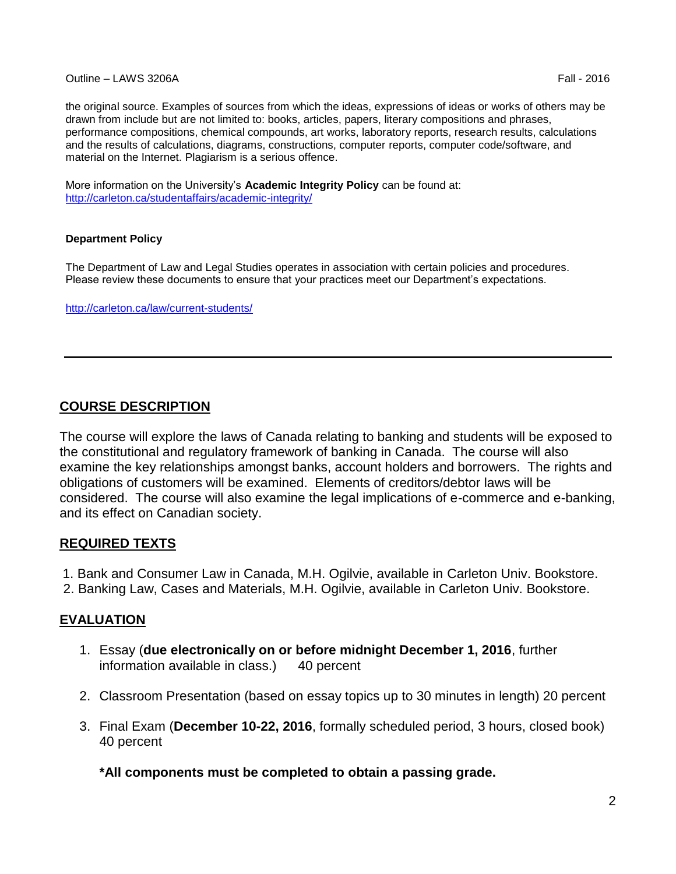### Outline – LAWS 3206A Fall - 2016

the original source. Examples of sources from which the ideas, expressions of ideas or works of others may be drawn from include but are not limited to: books, articles, papers, literary compositions and phrases, performance compositions, chemical compounds, art works, laboratory reports, research results, calculations and the results of calculations, diagrams, constructions, computer reports, computer code/software, and material on the Internet. Plagiarism is a serious offence.

More information on the University's **Academic Integrity Policy** can be found at: <http://carleton.ca/studentaffairs/academic-integrity/>

### **Department Policy**

The Department of Law and Legal Studies operates in association with certain policies and procedures. Please review these documents to ensure that your practices meet our Department's expectations.

<http://carleton.ca/law/current-students/>

# **COURSE DESCRIPTION**

The course will explore the laws of Canada relating to banking and students will be exposed to the constitutional and regulatory framework of banking in Canada. The course will also examine the key relationships amongst banks, account holders and borrowers. The rights and obligations of customers will be examined. Elements of creditors/debtor laws will be considered. The course will also examine the legal implications of e-commerce and e-banking, and its effect on Canadian society.

## **REQUIRED TEXTS**

- 1. Bank and Consumer Law in Canada, M.H. Ogilvie, available in Carleton Univ. Bookstore.
- 2. Banking Law, Cases and Materials, M.H. Ogilvie, available in Carleton Univ. Bookstore.

## **EVALUATION**

- 1. Essay (**due electronically on or before midnight December 1, 2016**, further information available in class.) 40 percent
- 2. Classroom Presentation (based on essay topics up to 30 minutes in length) 20 percent
- 3. Final Exam (**December 10-22, 2016**, formally scheduled period, 3 hours, closed book) 40 percent

**\*All components must be completed to obtain a passing grade.**